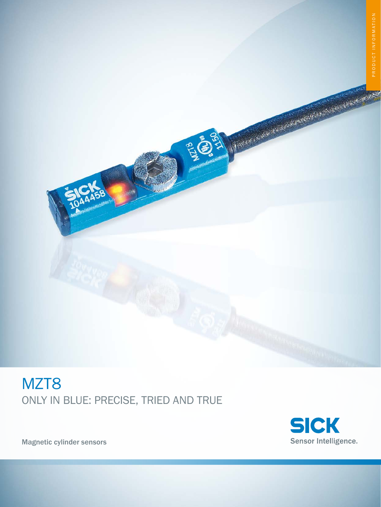# MZT<sub>8</sub> Only in blue: Precise, tried and true



A CARLO ANTE CON ESTADO DE MARCELLA DE MARCELLA

Magnetic cylinder sensors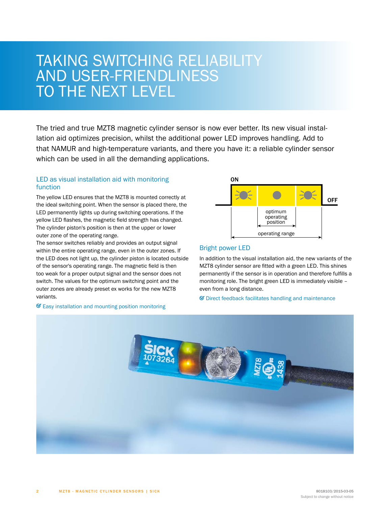# TAKING SWITCHING R AND USER-FI TO THE NEXT LEVEL

The tried and true MZT8 magnetic cylinder sensor is now ever better. Its new visual installation aid optimizes precision, whilst the additional power LED improves handling. Add to that NAMUR and high-temperature variants, and there you have it: a reliable cylinder sensor which can be used in all the demanding applications.

# LED as visual installation aid with monitoring function

The yellow LED ensures that the MZT8 is mounted correctly at the ideal switching point. When the sensor is placed there, the LED permanently lights up during switching operations. If the yellow LED flashes, the magnetic field strength has changed. The cylinder piston's position is then at the upper or lower outer zone of the operating range.

The sensor switches reliably and provides an output signal within the entire operating range, even in the outer zones. If the LED does not light up, the cylinder piston is located outside of the sensor's operating range. The magnetic field is then too weak for a proper output signal and the sensor does not switch. The values for the optimum switching point and the outer zones are already preset ex works for the new MZT8 variants.



# Bright power LED

In addition to the visual installation aid, the new variants of the MZT8 cylinder sensor are fitted with a green LED. This shines permanently if the sensor is in operation and therefore fulfills a monitoring role. The bright green LED is immediately visible – even from a long distance.

 $\mathcal G$  Direct feedback facilitates handling and maintenance



# $\mathcal G$  Easy installation and mounting position monitoring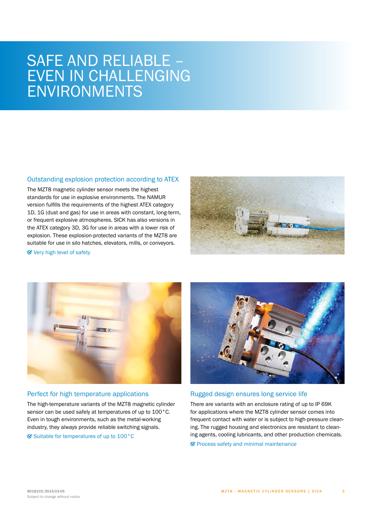# SAFE AND RELIABLE – EVEN IN CHALLENGING ENVIRONMENTS

#### Outstanding explosion protection according to ATEX

The MZT8 magnetic cylinder sensor meets the highest standards for use in explosive environments. The NAMUR version fulfills the requirements of the highest ATEX category 1D, 1G (dust and gas) for use in areas with constant, long-term, or frequent explosive atmospheres. SICK has also versions in the ATEX category 3D, 3G for use in areas with a lower risk of explosion. These explosion-protected variants of the MZT8 are suitable for use in silo hatches, elevators, mills, or conveyors.



Very high level of safety



### Perfect for high temperature applications

The high-temperature variants of the MZT8 magnetic cylinder sensor can be used safely at temperatures of up to 100°C. Even in tough environments, such as the metal-working industry, they always provide reliable switching signals.

 $\heartsuit$  Suitable for temperatures of up to 100 $^{\circ}$ C



#### Rugged design ensures long service life

There are variants with an enclosure rating of up to IP 69K for applications where the MZT8 cylinder sensor comes into frequent contact with water or is subject to high-pressure cleaning. The rugged housing and electronics are resistant to cleaning agents, cooling lubricants, and other production chemicals.

 $\mathcal G$  Process safety and minimal maintenance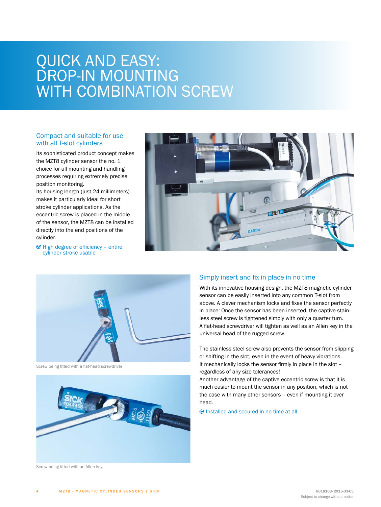# QUICK AND EASY: DROP-IN MOUNTING WITH COMBINATION SCREW

# Compact and suitable for use with all T-slot cylinders

Its sophisticated product concept makes the MZT8 cylinder sensor the no. 1 choice for all mounting and handling processes requiring extremely precise position monitoring.

Its housing length (just 24 millimeters) makes it particularly ideal for short stroke cylinder applications. As the eccentric screw is placed in the middle of the sensor, the MZT8 can be installed directly into the end positions of the cylinder.



 $\mathcal G$  High degree of efficiency – entire cylinder stroke usable



Screw being fitted with a flat-head screwdriver



### Simply insert and fix in place in no time

 $n153$ 

With its innovative housing design, the MZT8 magnetic cylinder sensor can be easily inserted into any common T-slot from above. A clever mechanism locks and fixes the sensor perfectly in place: Once the sensor has been inserted, the captive stainless steel screw is tightened simply with only a quarter turn. A flat-head screwdriver will tighten as well as an Allen key in the universal head of the rugged screw.

 $H$ 

The stainless steel screw also prevents the sensor from slipping or shifting in the slot, even in the event of heavy vibrations. It mechanically locks the sensor firmly in place in the slot – regardless of any size tolerances!

Another advantage of the captive eccentric screw is that it is much easier to mount the sensor in any position, which is not the case with many other sensors – even if mounting it over head.

 $\mathcal G$  Installed and secured in no time at all

Screw being fitted with an Allen key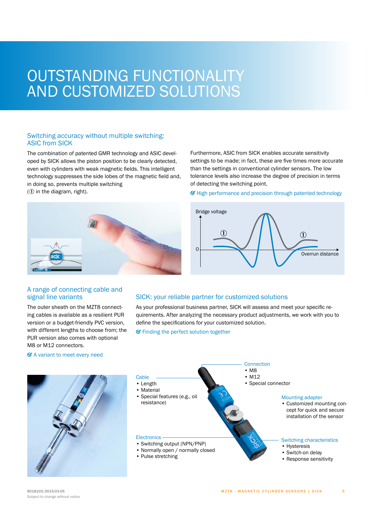# OUTSTANDING FI AND CUSTOMIZED S

# Switching accuracy without multiple switching: ASIC from SICK

The combination of patented GMR technology and ASIC developed by SICK allows the piston position to be clearly detected, even with cylinders with weak magnetic fields. This intelligent technology suppresses the side lobes of the magnetic field and, in doing so, prevents multiple switching

 $(1)$  in the diagram, right).

Furthermore, ASIC from SICK enables accurate sensitivity settings to be made; in fact, these are five times more accurate than the settings in conventional cylinder sensors. The low tolerance levels also increase the degree of precision in terms of detecting the switching point.







# A range of connecting cable and signal line variants

The outer sheath on the MZT8 connecting cables is available as a resilient PUR version or a budget-friendly PVC version, with different lengths to choose from; the PUR version also comes with optional M8 or M12 connectors.

#### A variant to meet every need



### SICK: your reliable partner for customized solutions

As your professional business partner, SICK will assess and meet your specific requirements. After analyzing the necessary product adjustments, we work with you to define the specifications for your customized solution.

 $\mathcal G$  Finding the perfect solution together



5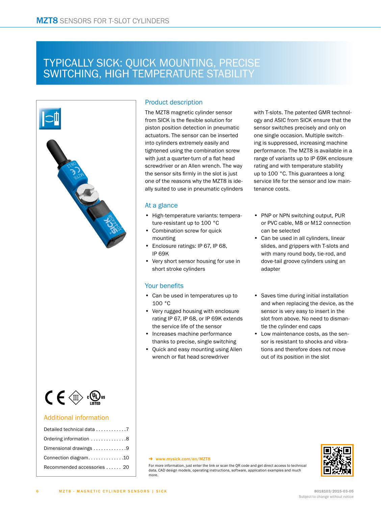# Typically SICK: quick mounting, precise SWITCHING, HIGH TEMPERATURE STABILITY



# Product description

The MZT8 magnetic cylinder sensor from SICK is the flexible solution for piston position detection in pneumatic actuators. The sensor can be inserted into cylinders extremely easily and tightened using the combination screw with just a quarter-turn of a flat head screwdriver or an Allen wrench. The way the sensor sits firmly in the slot is just one of the reasons why the MZT8 is ideally suited to use in pneumatic cylinders

## At a glance

- High-temperature variants: temperature-resistant up to 100 °C
- Combination screw for quick mounting
- Enclosure ratings: IP 67, IP 68, IP 69K
- Very short sensor housing for use in short stroke cylinders

# Your benefits

- Can be used in temperatures up to 100 °C
- Very rugged housing with enclosure rating IP 67, IP 68, or IP 69K extends the service life of the sensor
- Increases machine performance thanks to precise, single switching
- Quick and easy mounting using Allen wrench or flat head screwdriver

with T-slots. The patented GMR technology and ASIC from SICK ensure that the sensor switches precisely and only on one single occasion. Multiple switching is suppressed, increasing machine performance. The MZT8 is available in a range of variants up to IP 69K enclosure rating and with temperature stability up to 100 °C. This guarantees a long service life for the sensor and low maintenance costs.

- PNP or NPN switching output, PUR or PVC cable, M8 or M12 connection can be selected
- Can be used in all cylinders, linear slides, and grippers with T-slots and with many round body, tie-rod, and dove-tail groove cylinders using an adapter
- Saves time during initial installation and when replacing the device, as the sensor is very easy to insert in the slot from above. No need to dismantle the cylinder end caps
- Low maintenance costs, as the sensor is resistant to shocks and vibrations and therefore does not move out of its position in the slot

#### $\rightarrow$  www.mysick.com/en/MZT8





6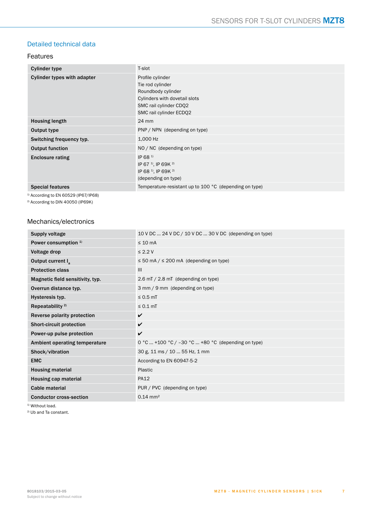# <span id="page-6-0"></span>Detailed technical data

### Features

| <b>Cylinder type</b>               | T-slot                                                                                                                                           |
|------------------------------------|--------------------------------------------------------------------------------------------------------------------------------------------------|
| <b>Cylinder types with adapter</b> | Profile cylinder<br>Tie rod cylinder<br>Roundbody cylinder<br>Cylinders with dovetail slots<br>SMC rail cylinder CDQ2<br>SMC rail cylinder ECDQ2 |
| <b>Housing length</b>              | 24 mm                                                                                                                                            |
| Output type                        | PNP / NPN (depending on type)                                                                                                                    |
| Switching frequency typ.           | 1,000 Hz                                                                                                                                         |
| <b>Output function</b>             | NO / NC (depending on type)                                                                                                                      |
| <b>Enclosure rating</b>            | IP 68 $11$<br>IP 67 <sup>1)</sup> , IP 69K <sup>2)</sup><br>IP 68 <sup>1)</sup> , IP 69K <sup>2)</sup><br>(depending on type)                    |
| <b>Special features</b>            | Temperature-resistant up to 100 °C (depending on type)                                                                                           |

 $1)$  According to EN 60529 (IP67/IP68)

2) According to DIN 40050 (IP69K)

# Mechanics/electronics

| Supply voltage                       | 10 V DC  24 V DC / 10 V DC  30 V DC (depending on type) |
|--------------------------------------|---------------------------------------------------------|
| Power consumption <sup>1)</sup>      | $\leq 10$ mA                                            |
| Voltage drop                         | $\leq$ 2.2 V                                            |
| Output current $I_{a}$               | $\leq$ 50 mA / $\leq$ 200 mA (depending on type)        |
| <b>Protection class</b>              | III                                                     |
| Magnetic field sensitivity, typ.     | 2.6 mT / 2.8 mT (depending on type)                     |
| Overrun distance typ.                | 3 mm / 9 mm (depending on type)                         |
| Hysteresis typ.                      | $\leq 0.5$ mT                                           |
| Repeatability <sup>2)</sup>          | $\leq 0.1$ mT                                           |
| Reverse polarity protection          | $\checkmark$                                            |
| <b>Short-circuit protection</b>      | $\checkmark$                                            |
| Power-up pulse protection            | $\checkmark$                                            |
| <b>Ambient operating temperature</b> | 0 °C  +100 °C / -30 °C  +80 °C (depending on type)      |
| Shock/vibration                      | 30 g, 11 ms / 10  55 Hz, 1 mm                           |
| <b>EMC</b>                           | According to EN 60947-5-2                               |
| <b>Housing material</b>              | Plastic                                                 |
| Housing cap material                 | <b>PA12</b>                                             |
| Cable material                       | PUR / PVC (depending on type)                           |
| <b>Conductor cross-section</b>       | $0.14 \text{ mm}^2$                                     |

<sup>1)</sup> Without load.

2) Ub and Ta constant.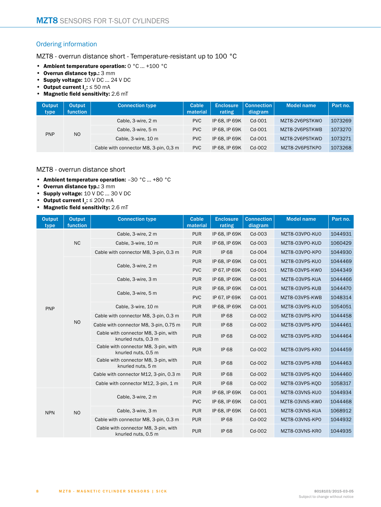# <span id="page-7-0"></span>Ordering information

MZT8 - overrun distance short - Temperature-resistant up to 100 °C

- **Ambient temperature operation:** 0 °C ... +100 °C
- **Overrun distance typ.:** 3 mm
- **Supply voltage:** 10 V DC ... 24 V DC
- **Output current I**a**:** ≤ 50 mA
- **Magnetic field sensitivity:** 2.6 mT

| <b>Output</b><br>type        | <b>Output</b><br><b>function</b> | <b>Connection type</b>                | Cable<br>material | <b>Enclosure</b><br>rating | <b>Connection</b><br>diagram | <b>Model name</b> | Part no. |
|------------------------------|----------------------------------|---------------------------------------|-------------------|----------------------------|------------------------------|-------------------|----------|
| <b>PNP</b><br>N <sub>O</sub> | Cable, 3-wire, 2 m               | <b>PVC</b>                            | IP 68. IP 69K     | $Cd-001$                   | MZT8-2V6PSTKW0               | 1073269           |          |
|                              |                                  | Cable, 3-wire, 5 m                    | <b>PVC</b>        | IP 68. IP 69K              | $Cd-001$                     | MZT8-2V6PSTKWB    | 1073270  |
|                              |                                  | Cable, 3-wire, 10 m                   | <b>PVC</b>        | IP 68. IP 69K              | $Cd-OO1$                     | MZT8-2V6PSTKWD    | 1073271  |
|                              |                                  | Cable with connector M8, 3-pin, 0.3 m | <b>PVC</b>        | IP 68. IP 69K              | $Cd-002$                     | MZT8-2V6PSTKP0    | 1073268  |

# MZT8 - overrun distance short

- **Ambient temperature operation:** –30 °C ... +80 °C
- **Overrun distance typ.:** 3 mm
- **Supply voltage:** 10 V DC ... 30 V DC
- **Output current I**a**:** ≤ 200 mA
- **Magnetic field sensitivity:** 2.6 mT

| <b>Output</b><br>type | Output<br>function | <b>Connection type</b>                                      | Cable<br>material | <b>Enclosure</b><br>rating | <b>Connection</b><br>diagram | <b>Model name</b> | Part no. |
|-----------------------|--------------------|-------------------------------------------------------------|-------------------|----------------------------|------------------------------|-------------------|----------|
|                       |                    | Cable, 3-wire, 2 m                                          | <b>PUR</b>        | IP 68, IP 69K              | Cd-003                       | MZT8-03VP0-KU0    | 1044931  |
|                       | NC                 | Cable, 3-wire, 10 m                                         | <b>PUR</b>        | IP 68, IP 69K              | $Cd-003$                     | MZT8-03VP0-KUD    | 1060429  |
|                       |                    | Cable with connector M8, 3-pin, 0.3 m                       | <b>PUR</b>        | <b>IP 68</b>               | Cd-004                       | MZT8-03VP0-KP0    | 1044930  |
|                       |                    | Cable, 3-wire, 2 m                                          | <b>PUR</b>        | IP 68, IP 69K              | Cd-001                       | MZT8-03VPS-KU0    | 1044469  |
|                       |                    |                                                             | <b>PVC</b>        | IP 67, IP 69K              | Cd-001                       | MZT8-03VPS-KW0    | 1044349  |
|                       |                    | Cable, 3-wire, 3 m                                          | <b>PUR</b>        | IP 68, IP 69K              | Cd-001                       | MZT8-03VPS-KUA    | 1044466  |
|                       |                    | Cable, 3-wire, 5 m                                          | <b>PUR</b>        | IP 68, IP 69K              | Cd-001                       | MZT8-03VPS-KUB    | 1044470  |
|                       |                    |                                                             | <b>PVC</b>        | IP 67, IP 69K              | Cd-001                       | MZT8-03VPS-KWB    | 1048314  |
| PNP                   |                    | Cable, 3-wire, 10 m                                         | <b>PUR</b>        | IP 68, IP 69K              | Cd-001                       | MZT8-03VPS-KUD    | 1054051  |
|                       |                    | Cable with connector M8, 3-pin, 0.3 m                       | <b>PUR</b>        | <b>IP 68</b>               | Cd-002                       | MZT8-03VPS-KP0    | 1044458  |
|                       | <b>NO</b>          | Cable with connector M8, 3-pin, 0.75 m                      | <b>PUR</b>        | <b>IP68</b>                | Cd-002                       | MZT8-03VPS-KPD    | 1044461  |
|                       |                    | Cable with connector M8, 3-pin, with<br>knurled nuts, 0.3 m | <b>PUR</b>        | <b>IP 68</b>               | Cd-002                       | MZT8-03VPS-KRD    | 1044464  |
|                       |                    | Cable with connector M8, 3-pin, with<br>knurled nuts, 0.5 m | <b>PUR</b>        | <b>IP 68</b>               | Cd-002                       | MZT8-03VPS-KR0    | 1044459  |
|                       |                    | Cable with connector M8, 3-pin, with<br>knurled nuts, 5 m   | <b>PUR</b>        | <b>IP 68</b>               | Cd-002                       | MZT8-03VPS-KRB    | 1044463  |
|                       |                    | Cable with connector M12, 3-pin, 0.3 m                      | <b>PUR</b>        | <b>IP 68</b>               | Cd-002                       | MZT8-03VPS-KO0    | 1044460  |
|                       |                    | Cable with connector M12, 3-pin, 1 m                        | <b>PUR</b>        | <b>IP 68</b>               | Cd-002                       | MZT8-03VPS-KOD    | 1058317  |
|                       |                    | Cable, 3-wire, 2 m                                          | <b>PUR</b>        | IP 68, IP 69K              | Cd-001                       | MZT8-03VNS-KU0    | 1044934  |
|                       |                    |                                                             | <b>PVC</b>        | IP 68, IP 69K              | Cd-001                       | MZT8-03VNS-KW0    | 1044468  |
| <b>NPN</b>            | <b>NO</b>          | Cable, 3-wire, 3 m                                          | <b>PUR</b>        | IP 68, IP 69K              | Cd-001                       | MZT8-03VNS-KUA    | 1068912  |
|                       |                    | Cable with connector M8, 3-pin, 0.3 m                       | <b>PUR</b>        | <b>IP 68</b>               | Cd-002                       | MZT8-03VNS-KP0    | 1044932  |
|                       |                    | Cable with connector M8, 3-pin, with<br>knurled nuts, 0.5 m | <b>PUR</b>        | <b>IP 68</b>               | Cd-002                       | MZT8-03VNS-KR0    | 1044935  |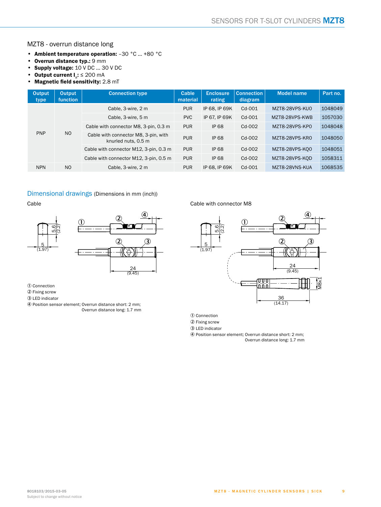# MZT8 - overrun distance long

- **Ambient temperature operation:** –30 °C ... +80 °C
- **Overrun distance typ.: 9 mm**<br>• **Supply voltage:** 10 V DC ... 30
- **Supply voltage:**  $10 \vee DC \dots 30 \vee DC$ <br>• **Output current I**<sub>s</sub>:  $\leq 200 \text{ mA}$
- **Output current I<sub>a</sub>: ≤ 200 mA**
- **Magnetic field sensitivity:** 2.8 mT

| Output<br>type | Output<br><b>function</b> | <b>Connection type</b>                                      | Cable<br>material | <b>Enclosure</b><br>rating | <b>Connection</b><br>diagram | <b>Model name</b> | Part no. |
|----------------|---------------------------|-------------------------------------------------------------|-------------------|----------------------------|------------------------------|-------------------|----------|
|                |                           | Cable, 3-wire, 2 m                                          | <b>PUR</b>        | IP 68. IP 69K              | $Cd-OO1$                     | MZT8-28VPS-KU0    | 1048049  |
|                |                           | Cable, 3-wire, 5 m                                          | <b>PVC</b>        | IP 67, IP 69K              | $Cd-OO1$                     | MZT8-28VPS-KWB    | 1057030  |
|                |                           | Cable with connector M8, 3-pin, 0.3 m                       | <b>PUR</b>        | <b>IP 68</b>               | $Cd-002$                     | MZT8-28VPS-KP0    | 1048048  |
| <b>PNP</b>     | N <sub>O</sub>            | Cable with connector M8, 3-pin, with<br>knurled nuts, 0.5 m | <b>PUR</b>        | <b>IP68</b>                | $Cd-002$                     | MZT8-28VPS-KR0    | 1048050  |
|                |                           | Cable with connector M12, 3-pin, 0.3 m                      | <b>PUR</b>        | <b>IP 68</b>               | $Cd-002$                     | MZT8-28VPS-KO0    | 1048051  |
|                |                           | Cable with connector M12, 3-pin, 0.5 m                      | <b>PUR</b>        | <b>IP 68</b>               | $Cd-002$                     | MZT8-28VPS-KOD    | 1058311  |
| <b>NPN</b>     | N <sub>O</sub>            | Cable, 3-wire, 2 m                                          | <b>PUR</b>        | IP 68, IP 69K              | $Cd-OO1$                     | MZT8-28VNS-KUA    | 1068535  |

# <span id="page-8-0"></span>Dimensional drawings (Dimensions in mm (inch))

Cable



1 Connection

2 Fixing screw

3 LED indicator

4 Position sensor element; Overrun distance short: 2 mm; Overrun distance long: 1.7 mm

#### Cable with connector M8



1 Connection

2 Fixing screw

3 LED indicator

4 Position sensor element; Overrun distance short: 2 mm; Overrun distance long: 1.7 mm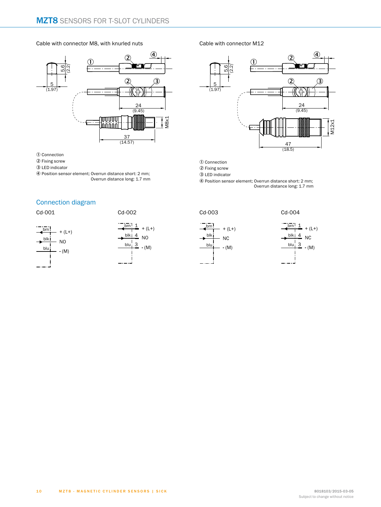#### Cable with connector M8, with knurled nuts



1 Connection

- 2 Fixing screw
- 3 LED indicator
- 4 Position sensor element; Overrun distance short: 2 mm; Overrun distance long: 1.7 mm

# <span id="page-9-0"></span>Connection diagram

Cd-001





Cable with connector M12



1 Connection

2 Fixing screw

3 LED indicator

4 Position sensor element; Overrun distance short: 2 mm; Overrun distance long: 1.7 mm







Cd-004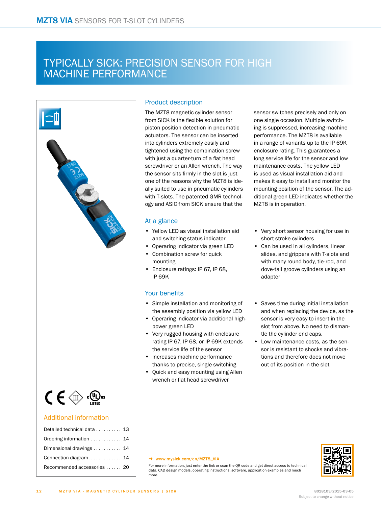# Typically SICK: precision sensor for high machine performance



# Product description

The MZT8 magnetic cylinder sensor from SICK is the flexible solution for piston position detection in pneumatic actuators. The sensor can be inserted into cylinders extremely easily and tightened using the combination screw with just a quarter-turn of a flat head screwdriver or an Allen wrench. The way the sensor sits firmly in the slot is just one of the reasons why the MZT8 is ideally suited to use in pneumatic cylinders with T-slots. The patented GMR technology and ASIC from SICK ensure that the

### At a glance

- Yellow LED as visual installation aid and switching status indicator
- Operaring indicator via green LED
- Combination screw for quick mounting
- Enclosure ratings: IP 67, IP 68, IP 69K

### Your benefits

- Simple installation and monitoring of the assembly position via yellow LED
- Operaring indicator via additional highpower green LED
- Very rugged housing with enclosure rating IP 67, IP 68, or IP 69K extends the service life of the sensor
- Increases machine performance thanks to precise, single switching
- Quick and easy mounting using Allen wrench or flat head screwdriver

sensor switches precisely and only on one single occasion. Multiple switching is suppressed, increasing machine performance. The MZT8 is available in a range of variants up to the IP 69K enclosure rating. This guarantees a long service life for the sensor and low maintenance costs. The yellow LED is used as visual installation aid and makes it easy to install and monitor the mounting position of the sensor. The additional green LED indicates whether the MZT8 is in operation.

- Very short sensor housing for use in short stroke cylinders
- Can be used in all cylinders, linear slides, and grippers with T-slots and with many round body, tie-rod, and dove-tail groove cylinders using an adapter
- Saves time during initial installation and when replacing the device, as the sensor is very easy to insert in the slot from above. No need to dismantle the cylinder end caps.
- Low maintenance costs, as the sensor is resistant to shocks and vibrations and therefore does not move out of its position in the slot

#### → www.mysick.com/en/MZT8\_VIA

For more information, just enter the link or scan the QR code and get direct access to technical data, CAD design models, operating instructions, software, application examples and much more.



# Subject to change without notice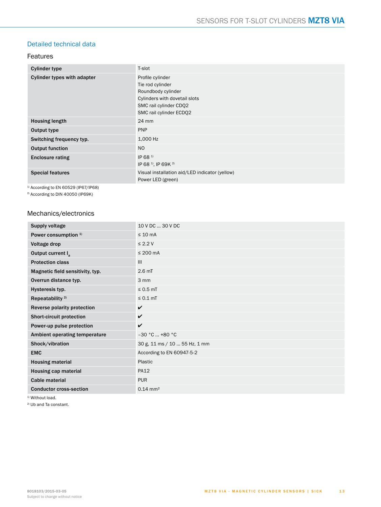# <span id="page-12-0"></span>Detailed technical data

### Features

| <b>Cylinder type</b>        | T-slot                                                                                                                                           |
|-----------------------------|--------------------------------------------------------------------------------------------------------------------------------------------------|
| Cylinder types with adapter | Profile cylinder<br>Tie rod cylinder<br>Roundbody cylinder<br>Cylinders with dovetail slots<br>SMC rail cylinder CDQ2<br>SMC rail cylinder ECDQ2 |
| <b>Housing length</b>       | $24 \text{ mm}$                                                                                                                                  |
| Output type                 | <b>PNP</b>                                                                                                                                       |
| Switching frequency typ.    | 1,000 Hz                                                                                                                                         |
| <b>Output function</b>      | N <sub>O</sub>                                                                                                                                   |
| <b>Enclosure rating</b>     | IP 68 <sup>1)</sup><br>IP 68 <sup>1)</sup> , IP 69K <sup>2)</sup>                                                                                |
| <b>Special features</b>     | Visual installation aid/LED indicator (yellow)<br>Power LED (green)                                                                              |

<sup>1)</sup> According to EN 60529 (IP67/IP68)

2) According to DIN 40050 (IP69K)

## Mechanics/electronics

| <b>Supply voltage</b>            | 10 V DC  30 V DC              |
|----------------------------------|-------------------------------|
| Power consumption <sup>1)</sup>  | $\leq 10$ mA                  |
| Voltage drop                     | $\leq$ 2.2 V                  |
| Output current I                 | $\leq 200$ mA                 |
| <b>Protection class</b>          | III                           |
| Magnetic field sensitivity, typ. | 2.6 <sub>mT</sub>             |
| Overrun distance typ.            | 3 mm                          |
| Hysteresis typ.                  | $\leq 0.5$ mT                 |
| Repeatability <sup>2)</sup>      | $\leq 0.1$ mT                 |
| Reverse polarity protection      | V                             |
| <b>Short-circuit protection</b>  | $\checkmark$                  |
| Power-up pulse protection        | $\checkmark$                  |
| Ambient operating temperature    | $-30 °C  +80 °C$              |
| Shock/vibration                  | 30 g, 11 ms / 10  55 Hz, 1 mm |
| <b>EMC</b>                       | According to EN 60947-5-2     |
| <b>Housing material</b>          | Plastic                       |
| <b>Housing cap material</b>      | <b>PA12</b>                   |
| <b>Cable material</b>            | <b>PUR</b>                    |
| <b>Conductor cross-section</b>   | $0.14 \text{ mm}^2$           |

<sup>1)</sup> Without load.

2) Ub and Ta constant.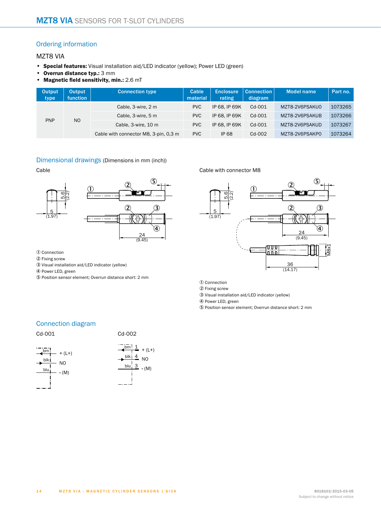# <span id="page-13-0"></span>Ordering information

# MZT8 VIA

- **Special features:** Visual installation aid/LED indicator (yellow); Power LED (green)
- **Overrun distance typ.:** 3 mm
- **Magnetic field sensitivity, min.:** 2.6 mT

| Output<br>type               | <b>Output</b><br><b>function</b> | <b>Connection type</b>                | Cable<br>material | <b>Enclosure</b><br>rating | <b>Connection</b><br>diagram | <b>Model name</b> | Part no. |
|------------------------------|----------------------------------|---------------------------------------|-------------------|----------------------------|------------------------------|-------------------|----------|
| N <sub>O</sub><br><b>PNP</b> |                                  | Cable, 3-wire, 2 m                    | <b>PVC</b>        | IP 68. IP 69K              | $Cd-001$                     | MZT8-2V6PSAKU0    | 1073265  |
|                              |                                  | Cable, 3-wire, 5 m                    | <b>PVC</b>        | IP 68. IP 69K              | $Cd-001$                     | MZT8-2V6PSAKUB    | 1073266  |
|                              |                                  | Cable, 3-wire, 10 m                   | <b>PVC</b>        | IP 68. IP 69K              | $Cd-OO1$                     | MZT8-2V6PSAKUD    | 1073267  |
|                              |                                  | Cable with connector M8, 3-pin, 0.3 m | <b>PVC</b>        | <b>IP 68</b>               | Cd-002                       | MZT8-2V6PSAKP0    | 1073264  |

#### <span id="page-13-1"></span>Dimensional drawings (Dimensions in mm (inch))

#### Cable



1 Connection

- 2 Fixing screw
- 3 Visual installation aid/LED indicator (yellow)

4 Power LED, green

5 Position sensor element; Overrun distance short: 2 mm

#### Cable with connector M8



1 Connection

2 Fixing screw

3 Visual installation aid/LED indicator (yellow)

4 Power LED, green

5 Position sensor element; Overrun distance short: 2 mm

# <span id="page-13-2"></span>Connection diagram

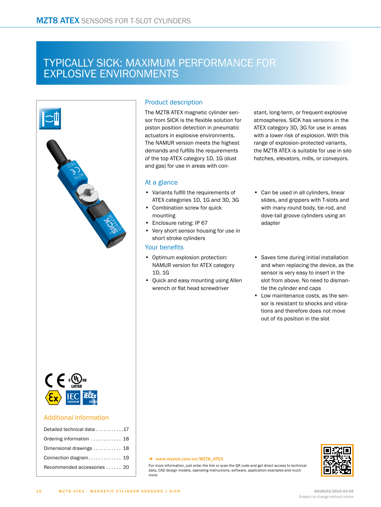# Typically SICK: maximum performance for explosive environments



# Product description

The MZT8 ATEX magnetic cylinder sensor from SICK is the flexible solution for piston position detection in pneumatic actuators in explosive environments. The NAMUR version meets the highest demands and fulfills the requirements of the top ATEX category 1D, 1G (dust and gas) for use in areas with con-

## At a glance

- Variants fulfill the requirements of ATEX categories 1D, 1G and 3D, 3G
- Combination screw for quick
- mounting
- Enclosure rating: IP 67
- Very short sensor housing for use in short stroke cylinders

# Your benefits

- Optimum explosion protection: NAMUR version for ATEX category 1D, 1G
- Quick and easy mounting using Allen wrench or flat head screwdriver

stant, long-term, or frequent explosive atmospheres. SICK has versions in the ATEX category 3D, 3G for use in areas with a lower risk of explosion. With this range of explosion-protected variants, the MZT8 ATEX is suitable for use in silo hatches, elevators, mills, or conveyors.

- Can be used in all cylinders, linear slides, and grippers with T-slots and with many round body, tie-rod, and dove-tail groove cylinders using an adapter
- Saves time during initial installation and when replacing the device, as the sensor is very easy to insert in the slot from above. No need to dismantle the cylinder end caps
- Low maintenance costs, as the sensor is resistant to shocks and vibrations and therefore does not move out of its position in the slot

#### → www.mysick.com/en/MZT8\_ATEX



For more information, just enter the link or scan the QR code and get direct access to technical data, CAD design models, operating instructions, software, application examples and much more.

| Detailed technical data 17  |
|-----------------------------|
| Ordering information  18    |
| Dimensional drawings  18    |
| Connection diagram 19       |
| Recommended accessories  20 |
|                             |

# Subject to change without notice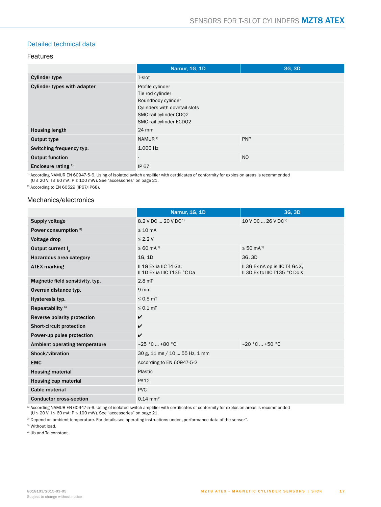# <span id="page-16-0"></span>Detailed technical data

### Features

|                                    | Namur, 1G, 1D                                                                                                                                    | 3G, 3D         |
|------------------------------------|--------------------------------------------------------------------------------------------------------------------------------------------------|----------------|
| <b>Cylinder type</b>               | T-slot                                                                                                                                           |                |
| <b>Cylinder types with adapter</b> | Profile cylinder<br>Tie rod cylinder<br>Roundbody cylinder<br>Cylinders with dovetail slots<br>SMC rail cylinder CDQ2<br>SMC rail cylinder ECDO2 |                |
| <b>Housing length</b>              | 24 mm                                                                                                                                            |                |
| Output type                        | NAMUR <sup>1)</sup>                                                                                                                              | PNP            |
| Switching frequency typ.           | 1.000 Hz                                                                                                                                         |                |
| <b>Output function</b>             | $\overline{\phantom{a}}$                                                                                                                         | N <sub>O</sub> |
| Enclosure rating <sup>2)</sup>     | <b>IP 67</b>                                                                                                                                     |                |

1) According NAMUR EN 60947-5-6. Using of isolated switch amplifier with certificates of conformity for explosion areas is recommended ( $U \le 20$  V;  $I \le 60$  mA; P  $\le 100$  mW). See "accessories" on page [21](#page-20-0).

2) According to EN 60529 (IP67/IP68).

#### Mechanics/electronics

|                                  | <b>Namur, 1G, 1D</b>                                  | 3G. 3D                                                          |
|----------------------------------|-------------------------------------------------------|-----------------------------------------------------------------|
| Supply voltage                   | 8.2 V DC  20 V DC <sup>1)</sup>                       | 10 V DC  26 V DC <sup>2)</sup>                                  |
| Power consumption 3)             | $\leq 10$ mA                                          |                                                                 |
| Voltage drop                     | $\leq 2.2 V$                                          |                                                                 |
| Output current $I_{a}$           | $\leq 60$ mA <sup>1)</sup>                            | ≤ 50 mA <sup>2)</sup>                                           |
| Hazardous area category          | 1G, 1D                                                | 3G, 3D                                                          |
| <b>ATEX marking</b>              | II 1G Ex ia IIC T4 Ga.<br>II 1D Ex ia IIIC T135 °C Da | II 3G Ex nA op is IIC T4 Gc X,<br>II 3D Ex to IIIC T135 °C Dc X |
| Magnetic field sensitivity, typ. | 2.8 <sub>mT</sub>                                     |                                                                 |
| Overrun distance typ.            | $9 \, \text{mm}$                                      |                                                                 |
| Hysteresis typ.                  | $\leq$ 0.5 mT                                         |                                                                 |
| Repeatability <sup>4)</sup>      | $\leq 0.1$ mT                                         |                                                                 |
| Reverse polarity protection      | $\checkmark$                                          |                                                                 |
| <b>Short-circuit protection</b>  | $\checkmark$                                          |                                                                 |
| Power-up pulse protection        | $\checkmark$                                          |                                                                 |
| Ambient operating temperature    | $-25 °C  +80 °C$                                      | $-20 °C  +50 °C$                                                |
| Shock/vibration                  | 30 g, 11 ms / 10  55 Hz, 1 mm                         |                                                                 |
| <b>EMC</b>                       | According to EN 60947-5-2                             |                                                                 |
| <b>Housing material</b>          | Plastic                                               |                                                                 |
| <b>Housing cap material</b>      | <b>PA12</b>                                           |                                                                 |
| Cable material                   | <b>PVC</b>                                            |                                                                 |
| <b>Conductor cross-section</b>   | $0.14 \text{ mm}^2$                                   |                                                                 |

 $^{\rm 1)}$  According NAMUR EN 60947-5-6. Using of isolated switch amplifier with certificates of conformity for explosion areas is recommended

(U ≤ 20 V; I ≤ 60 mA; P ≤ 100 mW). See "accessories" on page [21](#page-20-0).

<sup>2)</sup> Depend on ambient temperature. For details see operating instructions under "performance data of the sensor".

3) Without load.

4) Ub and Ta constant.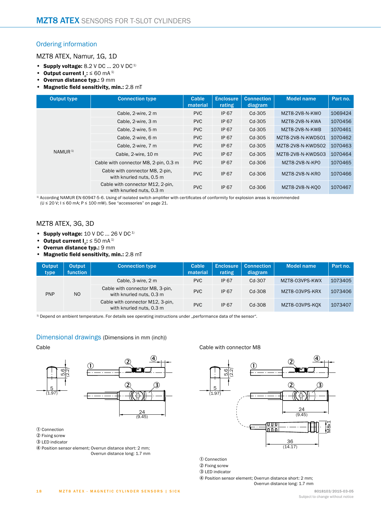# <span id="page-17-0"></span>Ordering information

MZT8 ATEX, Namur, 1G, 1D

- **Supply voltage:** 8.2 V DC ... 20 V DC 1)
- **Output current**  $I_a: \leq 60$  **mA<sup>1)</sup>**
- **Overrun distance typ.:** 9 mm
- **Magnetic field sensitivity, min.:** 2.8 mT

| <b>Output type</b> | <b>Connection type</b>                                       | Cable<br>material | <b>Enclosure</b><br>rating | <b>Connection</b><br>diagram | <b>Model name</b> | Part no. |
|--------------------|--------------------------------------------------------------|-------------------|----------------------------|------------------------------|-------------------|----------|
|                    | Cable, 2-wire, 2 m                                           | <b>PVC</b>        | <b>IP 67</b>               | Cd-305                       | MZT8-2V8-N-KW0    | 1069424  |
|                    | Cable, 2-wire, 3 m                                           | <b>PVC</b>        | <b>IP 67</b>               | $Cd-305$                     | MZT8-2V8-N-KWA    | 1070456  |
|                    | Cable, 2-wire, 5 m                                           | <b>PVC</b>        | <b>IP 67</b>               | $Cd-305$                     | MZT8-2V8-N-KWB    | 1070461  |
|                    | Cable, 2-wire, 6 m                                           | <b>PVC</b>        | <b>IP 67</b>               | Cd-305                       | MZT8-2V8-N-KWDS01 | 1070462  |
|                    | Cable, 2-wire, 7 m                                           | <b>PVC</b>        | <b>IP 67</b>               | Cd-305                       | MZT8-2V8-N-KWDS02 | 1070463  |
| NAMUR <sup>1</sup> | Cable, 2-wire, 10 m                                          | <b>PVC</b>        | <b>IP 67</b>               | Cd-305                       | MZT8-2V8-N-KWDS03 | 1070464  |
|                    | Cable with connector M8, 2-pin, 0.3 m                        | <b>PVC</b>        | <b>IP 67</b>               | Cd-306                       | MZT8-2V8-N-KP0    | 1070465  |
|                    | Cable with connector M8, 2-pin,<br>with knurled nuts, 0.5 m  | <b>PVC</b>        | <b>IP 67</b>               | $Cd-306$                     | MZT8-2V8-N-KR0    | 1070466  |
|                    | Cable with connector M12, 2-pin.<br>with knurled nuts, 0.3 m | <b>PVC</b>        | <b>IP 67</b>               | Cd-306                       | MZT8-2V8-N-KO0    | 1070467  |

1) According NAMUR EN 60947-5-6. Using of isolated switch amplifier with certificates of conformity for explosion areas is recommended (U ≤ 20 V; I ≤ 60 mA; P ≤ 100 mW). See "accessories" on page [21.](#page-20-0)

## MZT8 ATEX, 3G, 3D

- **Supply voltage:** 10 V DC ... 26 V DC 1)
- Output current  $I_a: \leq 50$  mA<sup>1)</sup>
- **Overrun distance typ.:** 9 mm
- **Magnetic field sensitivity, min.:** 2.8 mT

| Output<br>type | Output<br>function | <b>Connection type</b>                                       | Cable<br>material | <b>Enclosure</b><br>rating | <b>Connection</b><br>diagram | <b>Model name</b> | Part no. |
|----------------|--------------------|--------------------------------------------------------------|-------------------|----------------------------|------------------------------|-------------------|----------|
|                |                    | Cable, 3-wire, 2 m                                           | <b>PVC</b>        | <b>IP 67</b>               | Cd-307                       | MZT8-03VPS-KWX    | 1073405  |
| <b>PNP</b>     | N <sub>O</sub>     | Cable with connector M8, 3-pin,<br>with knurled nuts, 0.3 m  | <b>PVC</b>        | <b>IP 67</b>               | $Cd-308$                     | MZT8-03VPS-KRX    | 1073406  |
|                |                    | Cable with connector M12, 3-pin,<br>with knurled nuts, 0.3 m | <b>PVC</b>        | <b>IP 67</b>               | $Cd-308$                     | MZT8-03VPS-KOX    | 1073407  |

<sup>1)</sup> Depend on ambient temperature. For details see operating instructions under "performance data of the sensor".

 $\overline{\mathbf{4}}$ 

 $\ddot{\bm{3}}$ 

 $\frac{24}{(9.45)}$ 

#### <span id="page-17-1"></span>Dimensional drawings (Dimensions in mm (inch))

Cable



1 Connection

- 2 Fixing screw
- 3 LED indicator
- 4 Position sensor element; Overrun distance short: 2 mm; Overrun distance long: 1.7 mm

Cable with connector M8



1 Connection

- 2 Fixing screw
- 3 LED indicator

4 Position sensor element; Overrun distance short: 2 mm; Overrun distance long: 1.7 mm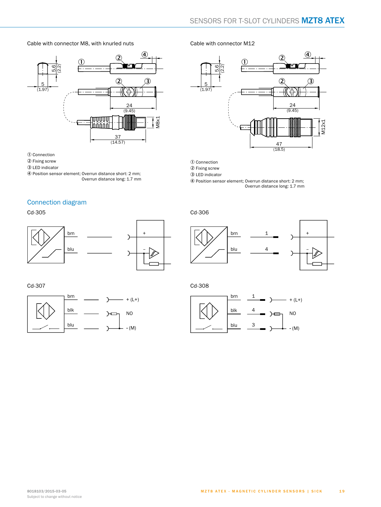Cable with connector M8, with knurled nuts



1 Connection

- 2 Fixing screw
- 3 LED indicator
- 4 Position sensor element; Overrun distance short: 2 mm; Overrun distance long: 1.7 mm

# <span id="page-18-0"></span>Connection diagram

Cd-305





Cd-307



#### Cable with connector M12



1 Connection

2 Fixing screw

3 LED indicator

4 Position sensor element; Overrun distance short: 2 mm; Overrun distance long: 1.7 mm

Cd-306



Cd-308

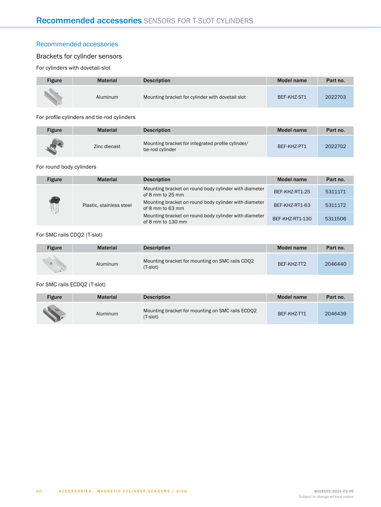# <span id="page-19-0"></span>Recommended accessories

# Brackets for cylinder sensors

For cylinders with dovetail-slot

| Figure | <b>Material</b> | <b>Description</b>                               | Model name  | Part no. |
|--------|-----------------|--------------------------------------------------|-------------|----------|
|        | Aluminum        | Mounting bracket for cylinder with dovetail slot | BEF-KHZ-ST1 | 2022703  |

#### For profile cylinders and tie-rod cylinders

| <b>Figure</b> | <b>Material</b> | <b>Description</b>                                                    | Model name  | Part no. |
|---------------|-----------------|-----------------------------------------------------------------------|-------------|----------|
|               | Zinc diecast    | Mounting bracket for integrated profile cylinder/<br>tie-rod cylinder | BEF-KHZ-PT1 | 2022702  |

#### For round body cylinders

| <b>Figure</b> | <b>Material</b>          | <b>Description</b>                                                         | Model name      | Part no. |
|---------------|--------------------------|----------------------------------------------------------------------------|-----------------|----------|
|               |                          | Mounting bracket on round body cylinder with diameter<br>of 8 mm to 25 mm  | BEF-KHZ-RT1-25  | 5311171  |
|               | Plastic, stainless steel | Mounting bracket on round body cylinder with diameter<br>of 8 mm to 63 mm  | BEF-KHZ-RT1-63  | 5311172  |
|               |                          | Mounting bracket on round body cylinder with diameter<br>of 8 mm to 130 mm | BEF-KHZ-RT1-130 | 5311506  |

#### For SMC rails CDQ2 (T-slot)

| Figure                      | <b>Material</b> | <b>Description</b>                                          | Model name  | Part no. |
|-----------------------------|-----------------|-------------------------------------------------------------|-------------|----------|
| <b>ALC</b><br>$\mathcal{A}$ | Aluminum        | Mounting bracket for mounting on SMC rails CDO2<br>(T-slot) | BEF-KHZ-TT2 | 2046440  |

#### For SMC rails ECDQ2 (T-slot)

| Figure | <b>Material</b> | <b>Description</b>                                           | Model name  | Part no. |
|--------|-----------------|--------------------------------------------------------------|-------------|----------|
| $\sim$ | Aluminum        | Mounting bracket for mounting on SMC rails ECDO2<br>(T-slot) | BEF-KHZ-TT1 | 2046439  |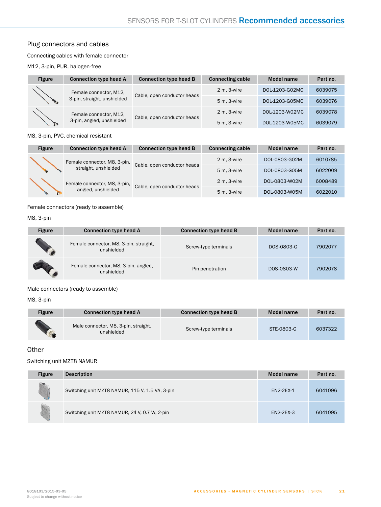# Plug connectors and cables

#### Connecting cables with female connector

M12, 3-pin, PUR, halogen-free

| <b>Figure</b> | <b>Connection type head A</b> | <b>Connection type head B</b> | <b>Connecting cable</b> | Model name     | Part no. |
|---------------|-------------------------------|-------------------------------|-------------------------|----------------|----------|
|               | Female connector, M12,        | Cable, open conductor heads   | 2 m, 3-wire             | DOL-1203-G02MC | 6039075  |
|               | 3-pin, straight, unshielded   |                               | 5 m, 3-wire             | DOL-1203-G05MC | 6039076  |
|               | Female connector, M12,        |                               | 2 m, 3-wire             | DOL-1203-W02MC | 6039078  |
|               | 3-pin, angled, unshielded     | Cable, open conductor heads   | 5 m, 3-wire             | DOL-1203-W05MC | 6039079  |

#### M8, 3-pin, PVC, chemical resistant

| <b>Figure</b> | <b>Connection type head A</b> | <b>Connection type head B</b> | <b>Connecting cable</b> | <b>Model name</b> | Part no. |
|---------------|-------------------------------|-------------------------------|-------------------------|-------------------|----------|
|               | Female connector, M8, 3-pin,  | Cable, open conductor heads   | $2 m. 3-wire$           | DOL-0803-G02M     | 6010785  |
|               | straight, unshielded          |                               | $5m.3-wire$             | DOL-0803-G05M     | 6022009  |
|               | Female connector, M8, 3-pin,  | Cable, open conductor heads   | $2 m. 3-wire$           | DOL-0803-W02M     | 6008489  |
|               | angled, unshielded            |                               | 5 m. 3-wire             | DOL-0803-W05M     | 6022010  |

Female connectors (ready to assemble)

M8, 3-pin

| <b>Figure</b> | <b>Connection type head A</b>                        | <b>Connection type head B</b> | Model name | Part no. |
|---------------|------------------------------------------------------|-------------------------------|------------|----------|
|               | Female connector, M8, 3-pin, straight,<br>unshielded | Screw-type terminals          | DOS-0803-G | 7902077  |
|               | Female connector, M8, 3-pin, angled,<br>unshielded   | Pin penetration               | DOS-0803-W | 7902078  |

Male connectors (ready to assemble)

M8, 3-pin

| <b>Figure</b> | <b>Connection type head A</b>                      | <b>Connection type head B</b> | Model name | Part no. |
|---------------|----------------------------------------------------|-------------------------------|------------|----------|
|               | Male connector, M8, 3-pin, straight,<br>unshielded | Screw-type terminals          | STE-0803-G | 6037322  |

# <span id="page-20-0"></span>**Other**

#### Switching unit MZT8 NAMUR

| <b>Figure</b> | <b>Description</b>                              | <b>Model name</b> | Part no. |
|---------------|-------------------------------------------------|-------------------|----------|
|               | Switching unit MZT8 NAMUR, 115 V, 1.5 VA, 3-pin | <b>EN2-2EX-1</b>  | 6041096  |
|               | Switching unit MZT8 NAMUR, 24 V, 0.7 W, 2-pin   | <b>EN2-2EX-3</b>  | 6041095  |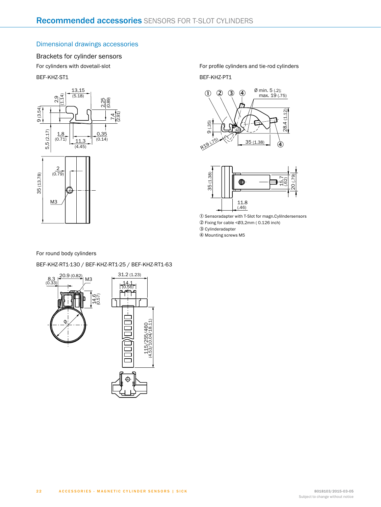# Dimensional drawings accessories

# Brackets for cylinder sensors

For cylinders with dovetail-slot

BEF-KHZ-ST1



For profile cylinders and tie-rod cylinders BEF-KHZ-PT1





1 Sensoradapter with T-Slot for magn.Cylilndersensors

2 Fixing for cable <Ø3,2mm ( 0.126 inch)

3 Cylinderadapter

4 Mounting screws M5

#### For round body cylinders

#### BEF-KHZ-RT1-130 / BEF-KHZ-RT1-25 / BEF-KHZ-RT1-63

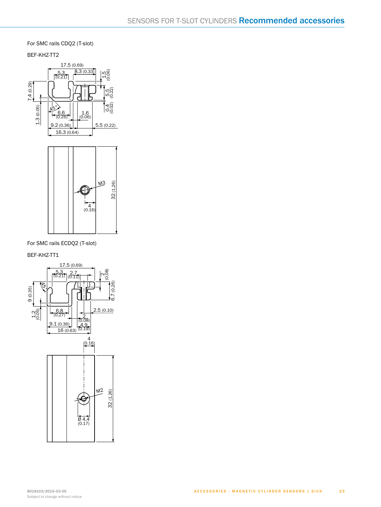For SMC rails CDQ2 (T-slot)

BEF-KHZ-TT2





For SMC rails ECDQ2 (T-slot)

BEF-KHZ-TT1

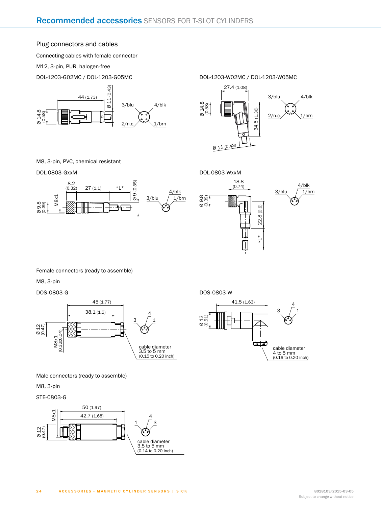### Plug connectors and cables

Connecting cables with female connector

M12, 3-pin, PUR, halogen-free

DOL-1203-G02MC / DOL-1203-G05MC



DOL-1203-W02MC / DOL-1203-W05MC



M8, 3-pin, PVC, chemical resistant

DOL -0803-GxxM





DOS-0803-W

Ø 13 (0.51) 41.5 (1.63)

रेला

cable diameter 4 to 5 mm (0.16 to 0.20 inch)

 $3 / 1$ 4

Female connectors (ready to assemble)

M8, 3-pin

#### DOS -0803-G



Male connectors (ready to assemble)

M8, 3-pin

2 4

STE -0803-G

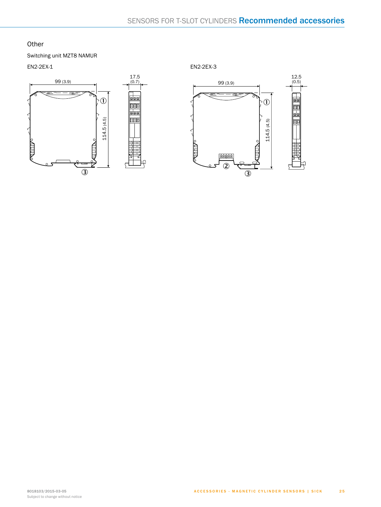# **Other**

Switching unit MZT8 NAMUR

EN2-2EX-1



EN2-2EX-3

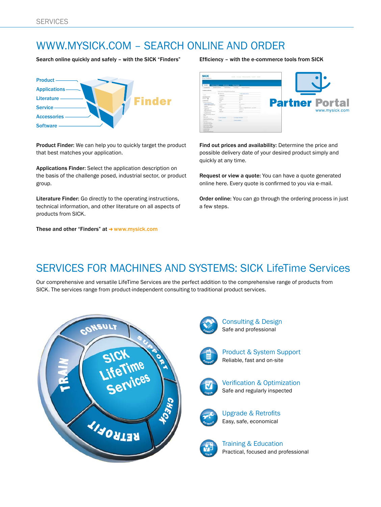# www.mysick.com – search online and order

Search online quickly and safely - with the SICK "Finders" Efficiency - with the e-commerce tools from SICK



Product Finder: We can help you to quickly target the product that best matches your application.

Applications Finder: Select the application description on the basis of the challenge posed, industrial sector, or product group.

Literature Finder: Go directly to the operating instructions, technical information, and other literature on all aspects of products from SICK.

These and other "Finders" at  $\rightarrow$  www.mysick.com



Find out prices and availability: Determine the price and possible delivery date of your desired product simply and quickly at any time.

Request or view a quote: You can have a quote generated online here. Every quote is confirmed to you via e-mail.

Order online: You can go through the ordering process in just a few steps.

# SERVICES FOR MACHINES AND SYSTEMS: SICK LifeTime Services

Our comprehensive and versatile LifeTime Services are the perfect addition to the comprehensive range of products from SICK. The services range from product-independent consulting to traditional product services.



Consulting & Design Safe and professional



Product & System Support Reliable, fast and on-site



Verification & Optimization Safe and regularly inspected



Upgrade & Retrofits Easy, safe, economical



Training & Education Practical, focused and professional